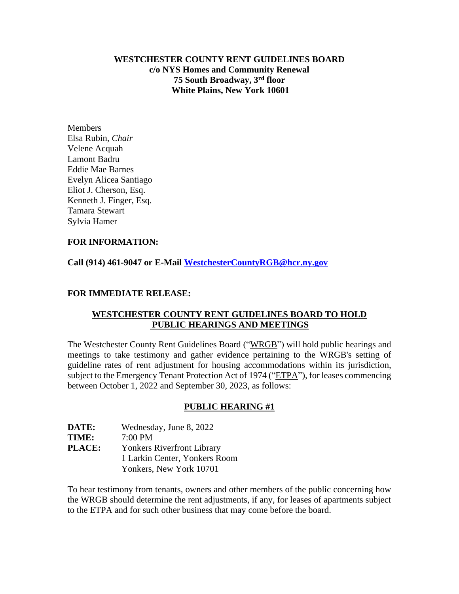**WESTCHESTER COUNTY RENT GUIDELINES BOARD c/o NYS Homes and Community Renewal 75 South Broadway, 3rd floor White Plains, New York 10601**

Members Elsa Rubin, *Chair* Velene Acquah Lamont Badru Eddie Mae Barnes Evelyn Alicea Santiago Eliot J. Cherson, Esq. Kenneth J. Finger, Esq. Tamara Stewart Sylvia Hamer

### **FOR INFORMATION:**

**Call (914) 461-9047 or E-Mail [WestchesterCountyRGB@hcr.ny.gov](mailto:WestchesterCountyRGB@hcr.ny.gov)**

### **FOR IMMEDIATE RELEASE:**

# **WESTCHESTER COUNTY RENT GUIDELINES BOARD TO HOLD PUBLIC HEARINGS AND MEETINGS**

The Westchester County Rent Guidelines Board ("WRGB") will hold public hearings and meetings to take testimony and gather evidence pertaining to the WRGB's setting of guideline rates of rent adjustment for housing accommodations within its jurisdiction, subject to the Emergency Tenant Protection Act of 1974 ("ETPA"), for leases commencing between October 1, 2022 and September 30, 2023, as follows:

#### **PUBLIC HEARING #1**

| <b>DATE:</b>  | Wednesday, June 8, 2022           |
|---------------|-----------------------------------|
| <b>TIME:</b>  | $7:00$ PM                         |
| <b>PLACE:</b> | <b>Yonkers Riverfront Library</b> |
|               | 1 Larkin Center, Yonkers Room     |
|               | Yonkers, New York 10701           |

To hear testimony from tenants, owners and other members of the public concerning how the WRGB should determine the rent adjustments, if any, for leases of apartments subject to the ETPA and for such other business that may come before the board.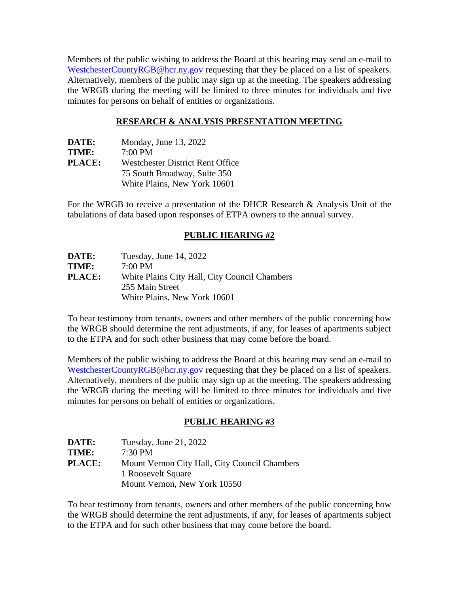Members of the public wishing to address the Board at this hearing may send an e-mail to [WestchesterCountyRGB@hcr.ny.gov](mailto:WestchesterCountyRGB@hcr.ny.gov) requesting that they be placed on a list of speakers. Alternatively, members of the public may sign up at the meeting. The speakers addressing the WRGB during the meeting will be limited to three minutes for individuals and five minutes for persons on behalf of entities or organizations.

## **RESEARCH & ANALYSIS PRESENTATION MEETING**

| DATE:         | Monday, June 13, 2022                   |
|---------------|-----------------------------------------|
| TIME:         | $7:00 \text{ PM}$                       |
| <b>PLACE:</b> | <b>Westchester District Rent Office</b> |
|               | 75 South Broadway, Suite 350            |
|               | White Plains, New York 10601            |

For the WRGB to receive a presentation of the DHCR Research & Analysis Unit of the tabulations of data based upon responses of ETPA owners to the annual survey.

## **PUBLIC HEARING #2**

| DATE:         | Tuesday, June 14, 2022                        |
|---------------|-----------------------------------------------|
| TIME:         | $7:00 \text{ PM}$                             |
| <b>PLACE:</b> | White Plains City Hall, City Council Chambers |
|               | 255 Main Street                               |
|               | White Plains, New York 10601                  |

To hear testimony from tenants, owners and other members of the public concerning how the WRGB should determine the rent adjustments, if any, for leases of apartments subject to the ETPA and for such other business that may come before the board.

Members of the public wishing to address the Board at this hearing may send an e-mail to [WestchesterCountyRGB@hcr.ny.gov](mailto:WestchesterCountyRGB@hcr.ny.gov) requesting that they be placed on a list of speakers. Alternatively, members of the public may sign up at the meeting. The speakers addressing the WRGB during the meeting will be limited to three minutes for individuals and five minutes for persons on behalf of entities or organizations.

#### **PUBLIC HEARING #3**

| DATE:         | Tuesday, June 21, 2022                        |
|---------------|-----------------------------------------------|
| TIME:         | $7:30 \text{ PM}$                             |
| <b>PLACE:</b> | Mount Vernon City Hall, City Council Chambers |
|               | 1 Roosevelt Square                            |
|               | Mount Vernon, New York 10550                  |

To hear testimony from tenants, owners and other members of the public concerning how the WRGB should determine the rent adjustments, if any, for leases of apartments subject to the ETPA and for such other business that may come before the board.